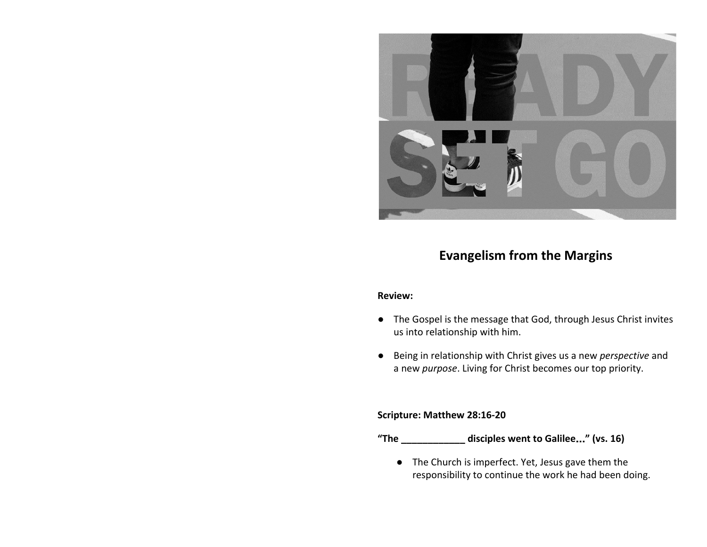

# **Evangelism from the Margins**

### **Review:**

- The Gospel is the message that God, through Jesus Christ invites us into relationship with him.
- Being in relationship with Christ gives us a new *perspective* and a new *purpose*. Living for Christ becomes our top priority.

#### **Scripture: Matthew 28:16-20**

- **"The \_\_\_\_\_\_\_\_\_\_\_\_ disciples went to Galilee**…**" (vs. 16)**
	- The Church is imperfect. Yet, Jesus gave them the responsibility to continue the work he had been doing.